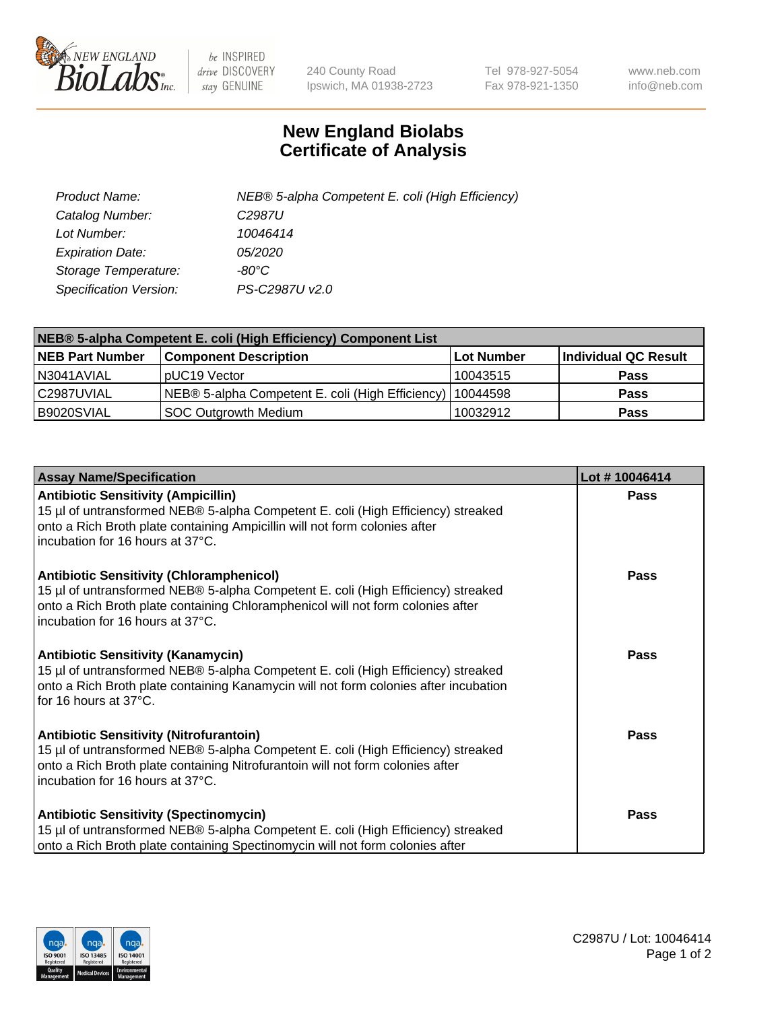

 $be$  INSPIRED drive DISCOVERY stay GENUINE

240 County Road Ipswich, MA 01938-2723 Tel 978-927-5054 Fax 978-921-1350 www.neb.com info@neb.com

## **New England Biolabs Certificate of Analysis**

| Product Name:           | NEB® 5-alpha Competent E. coli (High Efficiency) |
|-------------------------|--------------------------------------------------|
| Catalog Number:         | C <sub>2987</sub> U                              |
| Lot Number:             | 10046414                                         |
| <b>Expiration Date:</b> | <i>05/2020</i>                                   |
| Storage Temperature:    | -80°C                                            |
| Specification Version:  | PS-C2987U v2.0                                   |

| NEB® 5-alpha Competent E. coli (High Efficiency) Component List |                                                  |            |                      |  |
|-----------------------------------------------------------------|--------------------------------------------------|------------|----------------------|--|
| <b>NEB Part Number</b>                                          | <b>Component Description</b>                     | Lot Number | Individual QC Result |  |
| N3041AVIAL                                                      | pUC19 Vector                                     | 10043515   | <b>Pass</b>          |  |
| C2987UVIAL                                                      | NEB® 5-alpha Competent E. coli (High Efficiency) | 10044598   | <b>Pass</b>          |  |
| B9020SVIAL                                                      | <b>SOC Outgrowth Medium</b>                      | 10032912   | <b>Pass</b>          |  |

| <b>Assay Name/Specification</b>                                                                                                                                                                                                                            | Lot #10046414 |
|------------------------------------------------------------------------------------------------------------------------------------------------------------------------------------------------------------------------------------------------------------|---------------|
| <b>Antibiotic Sensitivity (Ampicillin)</b><br>15 µl of untransformed NEB® 5-alpha Competent E. coli (High Efficiency) streaked<br>onto a Rich Broth plate containing Ampicillin will not form colonies after<br>incubation for 16 hours at 37°C.           | <b>Pass</b>   |
| <b>Antibiotic Sensitivity (Chloramphenicol)</b><br>15 µl of untransformed NEB® 5-alpha Competent E. coli (High Efficiency) streaked<br>onto a Rich Broth plate containing Chloramphenicol will not form colonies after<br>incubation for 16 hours at 37°C. | Pass          |
| Antibiotic Sensitivity (Kanamycin)<br>15 µl of untransformed NEB® 5-alpha Competent E. coli (High Efficiency) streaked<br>onto a Rich Broth plate containing Kanamycin will not form colonies after incubation<br>for 16 hours at 37°C.                    | Pass          |
| <b>Antibiotic Sensitivity (Nitrofurantoin)</b><br>15 µl of untransformed NEB® 5-alpha Competent E. coli (High Efficiency) streaked<br>onto a Rich Broth plate containing Nitrofurantoin will not form colonies after<br>incubation for 16 hours at 37°C.   | <b>Pass</b>   |
| <b>Antibiotic Sensitivity (Spectinomycin)</b><br>15 µl of untransformed NEB® 5-alpha Competent E. coli (High Efficiency) streaked<br>onto a Rich Broth plate containing Spectinomycin will not form colonies after                                         | Pass          |